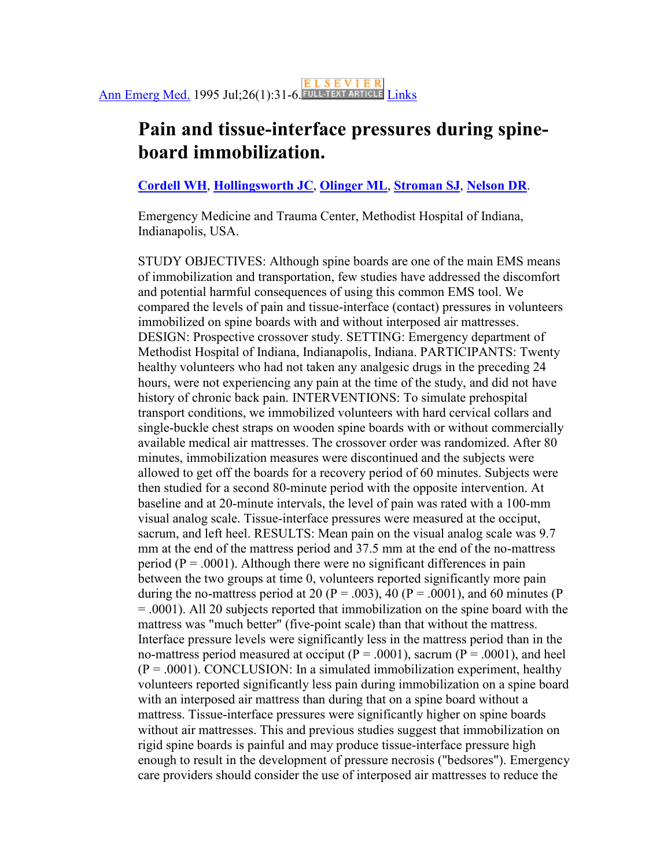# **Pain and tissue-interface pressures during spineboard immobilization.**

**Cordell WH, Hollingsworth JC, Olinger ML, Stroman SJ, Nelson DR.** 

Emergency Medicine and Trauma Center, Methodist Hospital of Indiana, Indianapolis, USA.

STUDY OBJECTIVES: Although spine boards are one of the main EMS means of immobilization and transportation, few studies have addressed the discomfort and potential harmful consequences of using this common EMS tool. We compared the levels of pain and tissue-interface (contact) pressures in volunteers immobilized on spine boards with and without interposed air mattresses. DESIGN: Prospective crossover study. SETTING: Emergency department of Methodist Hospital of Indiana, Indianapolis, Indiana. PARTICIPANTS: Twenty healthy volunteers who had not taken any analgesic drugs in the preceding 24 hours, were not experiencing any pain at the time of the study, and did not have history of chronic back pain. INTERVENTIONS: To simulate prehospital transport conditions, we immobilized volunteers with hard cervical collars and single-buckle chest straps on wooden spine boards with or without commercially available medical air mattresses. The crossover order was randomized. After 80 minutes, immobilization measures were discontinued and the subjects were allowed to get off the boards for a recovery period of 60 minutes. Subjects were then studied for a second 80-minute period with the opposite intervention. At baseline and at 20-minute intervals, the level of pain was rated with a 100-mm visual analog scale. Tissue-interface pressures were measured at the occiput, sacrum, and left heel. RESULTS: Mean pain on the visual analog scale was 9.7 mm at the end of the mattress period and 37.5 mm at the end of the no-mattress period ( $P = .0001$ ). Although there were no significant differences in pain between the two groups at time 0, volunteers reported significantly more pain during the no-mattress period at 20 (P = .003), 40 (P = .0001), and 60 minutes (P = .0001). All 20 subjects reported that immobilization on the spine board with the mattress was "much better" (five-point scale) than that without the mattress. Interface pressure levels were significantly less in the mattress period than in the no-mattress period measured at occiput ( $P = .0001$ ), sacrum ( $P = .0001$ ), and heel  $(P = .0001)$ . CONCLUSION: In a simulated immobilization experiment, healthy volunteers reported significantly less pain during immobilization on a spine board with an interposed air mattress than during that on a spine board without a mattress. Tissue-interface pressures were significantly higher on spine boards without air mattresses. This and previous studies suggest that immobilization on rigid spine boards is painful and may produce tissue-interface pressure high enough to result in the development of pressure necrosis ("bedsores"). Emergency care providers should consider the use of interposed air mattresses to reduce the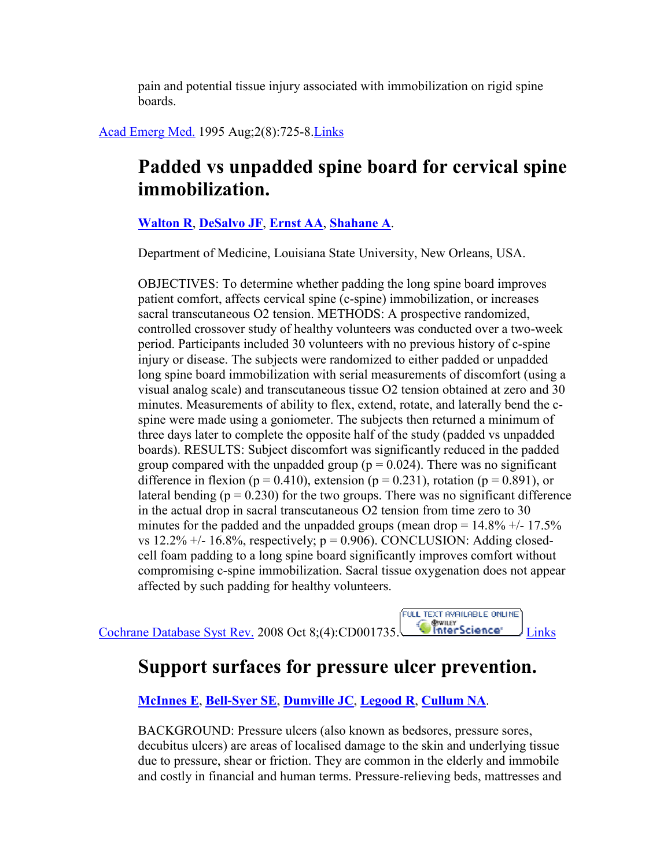pain and potential tissue injury associated with immobilization on rigid spine boards.

Acad Emerg Med. 1995 Aug; 2(8): 725-8. Links

## **Padded vs unpadded spine board for cervical spine immobilization.**

**Walton R**, **DeSalvo JF**, **Ernst AA**, **Shahane A**.

Department of Medicine, Louisiana State University, New Orleans, USA.

OBJECTIVES: To determine whether padding the long spine board improves patient comfort, affects cervical spine (c-spine) immobilization, or increases sacral transcutaneous O2 tension. METHODS: A prospective randomized, controlled crossover study of healthy volunteers was conducted over a two-week period. Participants included 30 volunteers with no previous history of c-spine injury or disease. The subjects were randomized to either padded or unpadded long spine board immobilization with serial measurements of discomfort (using a visual analog scale) and transcutaneous tissue O2 tension obtained at zero and 30 minutes. Measurements of ability to flex, extend, rotate, and laterally bend the cspine were made using a goniometer. The subjects then returned a minimum of three days later to complete the opposite half of the study (padded vs unpadded boards). RESULTS: Subject discomfort was significantly reduced in the padded group compared with the unpadded group ( $p = 0.024$ ). There was no significant difference in flexion ( $p = 0.410$ ), extension ( $p = 0.231$ ), rotation ( $p = 0.891$ ), or lateral bending ( $p = 0.230$ ) for the two groups. There was no significant difference in the actual drop in sacral transcutaneous O2 tension from time zero to 30 minutes for the padded and the unpadded groups (mean drop  $= 14.8\% +1.17.5\%$ vs  $12.2\% +16.8\%$ , respectively;  $p = 0.906$ ). CONCLUSION: Adding closedcell foam padding to a long spine board significantly improves comfort without compromising c-spine immobilization. Sacral tissue oxygenation does not appear affected by such padding for healthy volunteers.

Cochrane Database Syst Rev. 2008 Oct 8;(4):CD001735. Supersection Cochrane Links

# **Support surfaces for pressure ulcer prevention.**

FULL TEXT AVAILABLE ONLINE

## **McInnes E**, **Bell-Syer SE**, **Dumville JC**, **Legood R**, **Cullum !A**.

BACKGROUND: Pressure ulcers (also known as bedsores, pressure sores, decubitus ulcers) are areas of localised damage to the skin and underlying tissue due to pressure, shear or friction. They are common in the elderly and immobile and costly in financial and human terms. Pressure-relieving beds, mattresses and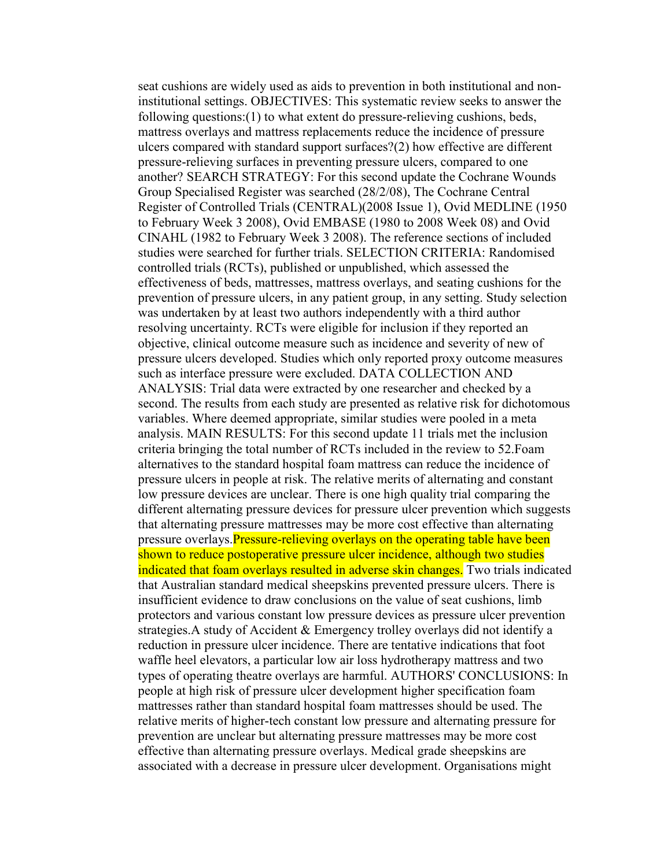seat cushions are widely used as aids to prevention in both institutional and noninstitutional settings. OBJECTIVES: This systematic review seeks to answer the following questions:(1) to what extent do pressure-relieving cushions, beds, mattress overlays and mattress replacements reduce the incidence of pressure ulcers compared with standard support surfaces?(2) how effective are different pressure-relieving surfaces in preventing pressure ulcers, compared to one another? SEARCH STRATEGY: For this second update the Cochrane Wounds Group Specialised Register was searched (28/2/08), The Cochrane Central Register of Controlled Trials (CENTRAL)(2008 Issue 1), Ovid MEDLINE (1950 to February Week 3 2008), Ovid EMBASE (1980 to 2008 Week 08) and Ovid CINAHL (1982 to February Week 3 2008). The reference sections of included studies were searched for further trials. SELECTION CRITERIA: Randomised controlled trials (RCTs), published or unpublished, which assessed the effectiveness of beds, mattresses, mattress overlays, and seating cushions for the prevention of pressure ulcers, in any patient group, in any setting. Study selection was undertaken by at least two authors independently with a third author resolving uncertainty. RCTs were eligible for inclusion if they reported an objective, clinical outcome measure such as incidence and severity of new of pressure ulcers developed. Studies which only reported proxy outcome measures such as interface pressure were excluded. DATA COLLECTION AND ANALYSIS: Trial data were extracted by one researcher and checked by a second. The results from each study are presented as relative risk for dichotomous variables. Where deemed appropriate, similar studies were pooled in a meta analysis. MAIN RESULTS: For this second update 11 trials met the inclusion criteria bringing the total number of RCTs included in the review to 52.Foam alternatives to the standard hospital foam mattress can reduce the incidence of pressure ulcers in people at risk. The relative merits of alternating and constant low pressure devices are unclear. There is one high quality trial comparing the different alternating pressure devices for pressure ulcer prevention which suggests that alternating pressure mattresses may be more cost effective than alternating pressure overlays. Pressure-relieving overlays on the operating table have been shown to reduce postoperative pressure ulcer incidence, although two studies indicated that foam overlays resulted in adverse skin changes. Two trials indicated that Australian standard medical sheepskins prevented pressure ulcers. There is insufficient evidence to draw conclusions on the value of seat cushions, limb protectors and various constant low pressure devices as pressure ulcer prevention strategies.A study of Accident & Emergency trolley overlays did not identify a reduction in pressure ulcer incidence. There are tentative indications that foot waffle heel elevators, a particular low air loss hydrotherapy mattress and two types of operating theatre overlays are harmful. AUTHORS' CONCLUSIONS: In people at high risk of pressure ulcer development higher specification foam mattresses rather than standard hospital foam mattresses should be used. The relative merits of higher-tech constant low pressure and alternating pressure for prevention are unclear but alternating pressure mattresses may be more cost effective than alternating pressure overlays. Medical grade sheepskins are associated with a decrease in pressure ulcer development. Organisations might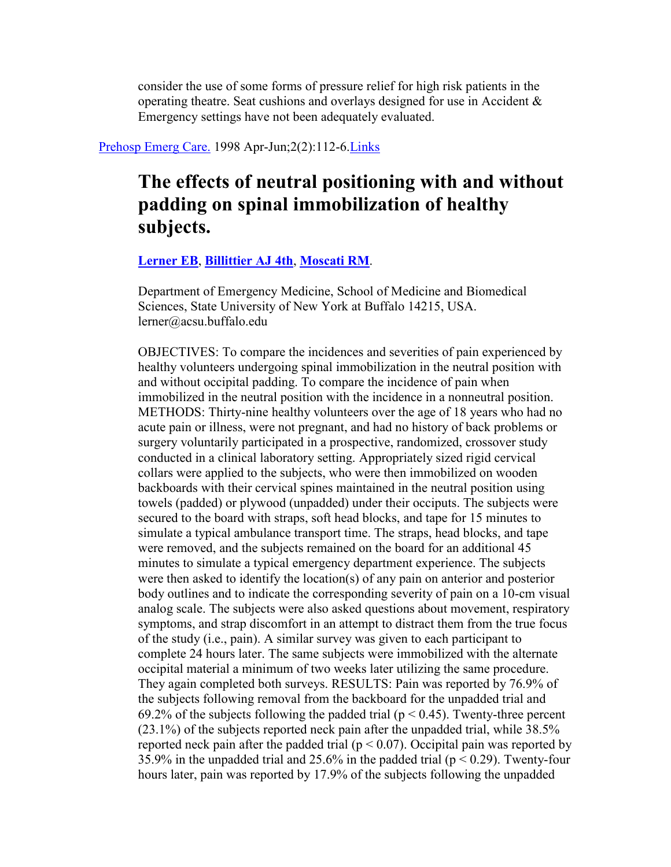consider the use of some forms of pressure relief for high risk patients in the operating theatre. Seat cushions and overlays designed for use in Accident & Emergency settings have not been adequately evaluated.

### Prehosp Emerg Care. 1998 Apr-Jun;2(2):112-6.Links

## **The effects of neutral positioning with and without padding on spinal immobilization of healthy subjects.**

#### **Lerner EB**, **Billittier AJ 4th**, **Moscati RM**.

Department of Emergency Medicine, School of Medicine and Biomedical Sciences, State University of New York at Buffalo 14215, USA. lerner@acsu.buffalo.edu

OBJECTIVES: To compare the incidences and severities of pain experienced by healthy volunteers undergoing spinal immobilization in the neutral position with and without occipital padding. To compare the incidence of pain when immobilized in the neutral position with the incidence in a nonneutral position. METHODS: Thirty-nine healthy volunteers over the age of 18 years who had no acute pain or illness, were not pregnant, and had no history of back problems or surgery voluntarily participated in a prospective, randomized, crossover study conducted in a clinical laboratory setting. Appropriately sized rigid cervical collars were applied to the subjects, who were then immobilized on wooden backboards with their cervical spines maintained in the neutral position using towels (padded) or plywood (unpadded) under their occiputs. The subjects were secured to the board with straps, soft head blocks, and tape for 15 minutes to simulate a typical ambulance transport time. The straps, head blocks, and tape were removed, and the subjects remained on the board for an additional 45 minutes to simulate a typical emergency department experience. The subjects were then asked to identify the location(s) of any pain on anterior and posterior body outlines and to indicate the corresponding severity of pain on a 10-cm visual analog scale. The subjects were also asked questions about movement, respiratory symptoms, and strap discomfort in an attempt to distract them from the true focus of the study (i.e., pain). A similar survey was given to each participant to complete 24 hours later. The same subjects were immobilized with the alternate occipital material a minimum of two weeks later utilizing the same procedure. They again completed both surveys. RESULTS: Pain was reported by 76.9% of the subjects following removal from the backboard for the unpadded trial and 69.2% of the subjects following the padded trial ( $p < 0.45$ ). Twenty-three percent (23.1%) of the subjects reported neck pain after the unpadded trial, while 38.5% reported neck pain after the padded trial ( $p < 0.07$ ). Occipital pain was reported by 35.9% in the unpadded trial and 25.6% in the padded trial ( $p < 0.29$ ). Twenty-four hours later, pain was reported by 17.9% of the subjects following the unpadded